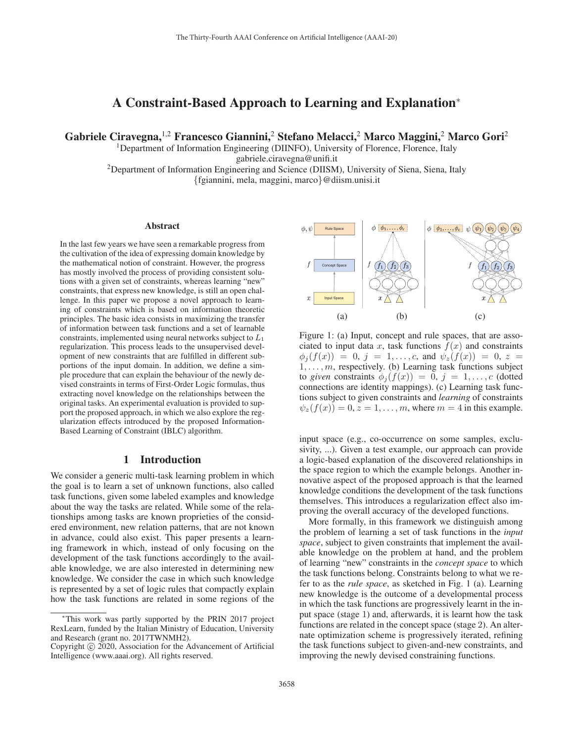# A Constraint-Based Approach to Learning and Explanation<sup>∗</sup>

Gabriele Ciravegna,<sup>1,2</sup> Francesco Giannini,<sup>2</sup> Stefano Melacci,<sup>2</sup> Marco Maggini,<sup>2</sup> Marco Gori<sup>2</sup>

<sup>1</sup>Department of Information Engineering (DIINFO), University of Florence, Florence, Italy

gabriele.ciravegna@unifi.it

<sup>2</sup>Department of Information Engineering and Science (DIISM), University of Siena, Siena, Italy {fgiannini, mela, maggini, marco}@diism.unisi.it

#### Abstract

In the last few years we have seen a remarkable progress from the cultivation of the idea of expressing domain knowledge by the mathematical notion of constraint. However, the progress has mostly involved the process of providing consistent solutions with a given set of constraints, whereas learning "new" constraints, that express new knowledge, is still an open challenge. In this paper we propose a novel approach to learning of constraints which is based on information theoretic principles. The basic idea consists in maximizing the transfer of information between task functions and a set of learnable constraints, implemented using neural networks subject to  $L_1$ regularization. This process leads to the unsupervised development of new constraints that are fulfilled in different subportions of the input domain. In addition, we define a simple procedure that can explain the behaviour of the newly devised constraints in terms of First-Order Logic formulas, thus extracting novel knowledge on the relationships between the original tasks. An experimental evaluation is provided to support the proposed approach, in which we also explore the regularization effects introduced by the proposed Information-Based Learning of Constraint (IBLC) algorithm.

#### 1 Introduction

We consider a generic multi-task learning problem in which the goal is to learn a set of unknown functions, also called task functions, given some labeled examples and knowledge about the way the tasks are related. While some of the relationships among tasks are known proprieties of the considered environment, new relation patterns, that are not known in advance, could also exist. This paper presents a learning framework in which, instead of only focusing on the development of the task functions accordingly to the available knowledge, we are also interested in determining new knowledge. We consider the case in which such knowledge is represented by a set of logic rules that compactly explain how the task functions are related in some regions of the



Figure 1: (a) Input, concept and rule spaces, that are associated to input data x, task functions  $f(x)$  and constraints  $\phi_i(f(x)) = 0, j = 1, \ldots, c$ , and  $\psi_2(f(x)) = 0, z =$  $1, \ldots, m$ , respectively. (b) Learning task functions subject to *given* constraints  $\phi_i(f(x)) = 0, j = 1, \ldots, c$  (dotted connections are identity mappings). (c) Learning task functions subject to given constraints and *learning* of constraints  $\psi_z(f(x)) = 0, z = 1, \ldots, m$ , where  $m = 4$  in this example.

input space (e.g., co-occurrence on some samples, exclusivity, ...). Given a test example, our approach can provide a logic-based explanation of the discovered relationships in the space region to which the example belongs. Another innovative aspect of the proposed approach is that the learned knowledge conditions the development of the task functions themselves. This introduces a regularization effect also improving the overall accuracy of the developed functions.

More formally, in this framework we distinguish among the problem of learning a set of task functions in the *input space*, subject to given constraints that implement the available knowledge on the problem at hand, and the problem of learning "new" constraints in the *concept space* to which the task functions belong. Constraints belong to what we refer to as the *rule space*, as sketched in Fig. 1 (a). Learning new knowledge is the outcome of a developmental process in which the task functions are progressively learnt in the input space (stage 1) and, afterwards, it is learnt how the task functions are related in the concept space (stage 2). An alternate optimization scheme is progressively iterated, refining the task functions subject to given-and-new constraints, and improving the newly devised constraining functions.

<sup>∗</sup>This work was partly supported by the PRIN 2017 project RexLearn, funded by the Italian Ministry of Education, University and Research (grant no. 2017TWNMH2).

Copyright  $\odot$  2020, Association for the Advancement of Artificial Intelligence (www.aaai.org). All rights reserved.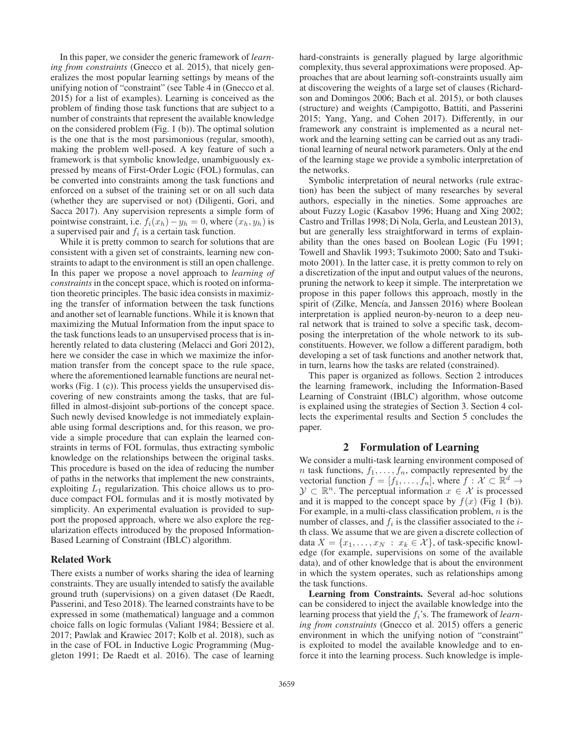In this paper, we consider the generic framework of *learning from constraints* (Gnecco et al. 2015), that nicely generalizes the most popular learning settings by means of the unifying notion of "constraint" (see Table 4 in (Gnecco et al. 2015) for a list of examples). Learning is conceived as the problem of finding those task functions that are subject to a number of constraints that represent the available knowledge on the considered problem (Fig. 1 (b)). The optimal solution is the one that is the most parsimonious (regular, smooth), making the problem well-posed. A key feature of such a framework is that symbolic knowledge, unambiguously expressed by means of First-Order Logic (FOL) formulas, can be converted into constraints among the task functions and enforced on a subset of the training set or on all such data (whether they are supervised or not) (Diligenti, Gori, and Sacca 2017). Any supervision represents a simple form of pointwise constraint, i.e.  $f_i(x_h) - y_h = 0$ , where  $(x_h, y_h)$  is a supervised pair and  $f_i$  is a certain task function.

While it is pretty common to search for solutions that are consistent with a given set of constraints, learning new constraints to adapt to the environment is still an open challenge. In this paper we propose a novel approach to *learning of constraints* in the concept space, which is rooted on information theoretic principles. The basic idea consists in maximizing the transfer of information between the task functions and another set of learnable functions. While it is known that maximizing the Mutual Information from the input space to the task functions leads to an unsupervised process that is inherently related to data clustering (Melacci and Gori 2012), here we consider the case in which we maximize the information transfer from the concept space to the rule space, where the aforementioned learnable functions are neural networks (Fig. 1 (c)). This process yields the unsupervised discovering of new constraints among the tasks, that are fulfilled in almost-disjoint sub-portions of the concept space. Such newly devised knowledge is not immediately explainable using formal descriptions and, for this reason, we provide a simple procedure that can explain the learned constraints in terms of FOL formulas, thus extracting symbolic knowledge on the relationships between the original tasks. This procedure is based on the idea of reducing the number of paths in the networks that implement the new constraints, exploiting  $L_1$  regularization. This choice allows us to produce compact FOL formulas and it is mostly motivated by simplicity. An experimental evaluation is provided to support the proposed approach, where we also explore the regularization effects introduced by the proposed Information-Based Learning of Constraint (IBLC) algorithm.

#### Related Work

There exists a number of works sharing the idea of learning constraints. They are usually intended to satisfy the available ground truth (supervisions) on a given dataset (De Raedt, Passerini, and Teso 2018). The learned constraints have to be expressed in some (mathematical) language and a common choice falls on logic formulas (Valiant 1984; Bessiere et al. 2017; Pawlak and Krawiec 2017; Kolb et al. 2018), such as in the case of FOL in Inductive Logic Programming (Muggleton 1991; De Raedt et al. 2016). The case of learning

hard-constraints is generally plagued by large algorithmic complexity, thus several approximations were proposed. Approaches that are about learning soft-constraints usually aim at discovering the weights of a large set of clauses (Richardson and Domingos 2006; Bach et al. 2015), or both clauses (structure) and weights (Campigotto, Battiti, and Passerini 2015; Yang, Yang, and Cohen 2017). Differently, in our framework any constraint is implemented as a neural network and the learning setting can be carried out as any traditional learning of neural network parameters. Only at the end of the learning stage we provide a symbolic interpretation of the networks.

Symbolic interpretation of neural networks (rule extraction) has been the subject of many researches by several authors, especially in the nineties. Some approaches are about Fuzzy Logic (Kasabov 1996; Huang and Xing 2002; Castro and Trillas 1998; Di Nola, Gerla, and Leustean 2013), but are generally less straightforward in terms of explainability than the ones based on Boolean Logic (Fu 1991; Towell and Shavlik 1993; Tsukimoto 2000; Sato and Tsukimoto 2001). In the latter case, it is pretty common to rely on a discretization of the input and output values of the neurons, pruning the network to keep it simple. The interpretation we propose in this paper follows this approach, mostly in the spirit of (Zilke, Mencía, and Janssen 2016) where Boolean interpretation is applied neuron-by-neuron to a deep neural network that is trained to solve a specific task, decomposing the interpretation of the whole network to its subconstituents. However, we follow a different paradigm, both developing a set of task functions and another network that, in turn, learns how the tasks are related (constrained).

This paper is organized as follows. Section 2 introduces the learning framework, including the Information-Based Learning of Constraint (IBLC) algorithm, whose outcome is explained using the strategies of Section 3. Section 4 collects the experimental results and Section 5 concludes the paper.

#### 2 Formulation of Learning

We consider a multi-task learning environment composed of *n* task functions,  $f_1, \ldots, f_n$ , compactly represented by the vectorial function  $f = [f_1, \ldots, f_n]$ , where  $f : \mathcal{X} \subset \mathbb{R}^d \to$  $\mathcal{Y} \subset \mathbb{R}^n$ . The perceptual information  $x \in \mathcal{X}$  is processed and it is mapped to the concept space by  $f(x)$  (Fig 1 (b)). For example, in a multi-class classification problem,  $n$  is the number of classes, and  $f_i$  is the classifier associated to the *i*th class. We assume that we are given a discrete collection of data  $X = \{x_1, \ldots, x_N : x_k \in \mathcal{X}\}\)$ , of task-specific knowledge (for example, supervisions on some of the available data), and of other knowledge that is about the environment in which the system operates, such as relationships among the task functions.

Learning from Constraints. Several ad-hoc solutions can be considered to inject the available knowledge into the learning process that yield the  $f_i$ 's. The framework of *learning from constraints* (Gnecco et al. 2015) offers a generic environment in which the unifying notion of "constraint" is exploited to model the available knowledge and to enforce it into the learning process. Such knowledge is imple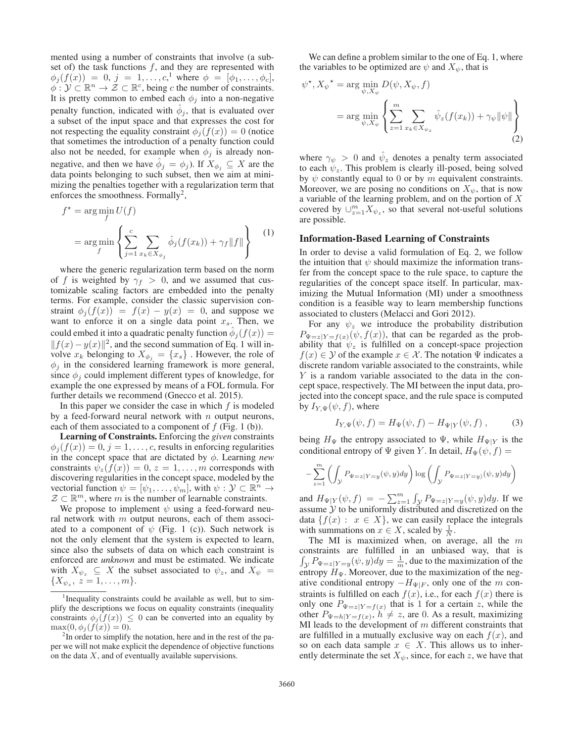mented using a number of constraints that involve (a subset of) the task functions  $f$ , and they are represented with  $\phi_j(f(x)) = 0, j = 1, \ldots, c, ^1$  where  $\phi = [\phi_1, \ldots, \phi_c],$ <br>  $\phi \cdot \mathcal{V} \subset \mathbb{R}^n \to \mathcal{Z} \subset \mathbb{R}^c$  being c the number of constraints  $\phi: \mathcal{Y} \subset \mathbb{R}^n \to \mathcal{Z} \subset \mathbb{R}^c$ , being c the number of constraints. It is pretty common to embed each  $\phi_i$  into a non-negative penalty function, indicated with  $\phi_j$ , that is evaluated over a subset of the input space and that expresses the cost for not respecting the equality constraint  $\phi_j(f(x)) = 0$  (notice that sometimes the introduction of a penalty function could also not be needed, for example when  $\phi_j$  is already nonnegative, and then we have  $\phi_j = \phi_j$ ). If  $X_{\phi_j} \subseteq X$  are the data points belonging to such subset, then we aim at minimizing the penalties together with a regularization term that enforces the smoothness. Formally<sup>2</sup>,

$$
f^* = \underset{f}{\arg\min} U(f)
$$
  
= 
$$
\underset{f}{\arg\min} \left\{ \sum_{j=1}^c \sum_{x_k \in X_{\phi_j}} \hat{\phi}_j(f(x_k)) + \gamma_f \|f\| \right\}
$$
 (1)

where the generic regularization term based on the norm of f is weighted by  $\gamma_f > 0$ , and we assumed that customizable scaling factors are embedded into the penalty terms. For example, consider the classic supervision constraint  $\phi_j(f(x)) = f(x) - y(x) = 0$ , and suppose we want to enforce it on a single data point  $x_s$ . Then, we could embed it into a quadratic penalty function  $\phi_j(f(x)) =$  $||f(x)-y(x)||^2$ , and the second summation of Eq. 1 will involve  $x_k$  belonging to  $X_{\phi_i} = \{x_s\}$ . However, the role of  $\phi_i$  in the considered learning framework is more general, since  $\phi_i$  could implement different types of knowledge, for example the one expressed by means of a FOL formula. For further details we recommend (Gnecco et al. 2015).

In this paper we consider the case in which  $f$  is modeled by a feed-forward neural network with  $n$  output neurons, each of them associated to a component of  $f$  (Fig. 1 (b)).

Learning of Constraints. Enforcing the *given* constraints  $\phi_i(f(x)) = 0, j = 1, \ldots, c$ , results in enforcing regularities in the concept space that are dictated by φ. Learning *new* constraints  $\psi_z(f(x)) = 0, z = 1, \ldots, m$  corresponds with discovering regularities in the concept space, modeled by the vectorial function  $\psi = [\psi_1, \dots, \psi_m]$ , with  $\psi : \mathcal{Y} \subset \mathbb{R}^n \to$  $\mathcal{Z} \subset \mathbb{R}^m$ , where m is the number of learnable constraints.

We propose to implement  $\psi$  using a feed-forward neural network with  $m$  output neurons, each of them associated to a component of  $\psi$  (Fig. 1 (c)). Such network is not the only element that the system is expected to learn, since also the subsets of data on which each constraint is enforced are *unknown* and must be estimated. We indicate with  $X_{\psi_z} \subseteq X$  the subset associated to  $\psi_z$ , and  $X_{\psi} =$  $\{X_{\psi_z},\ z=1,\ldots,m\}.$ 

We can define a problem similar to the one of Eq. 1, where the variables to be optimized are  $\psi$  and  $X_{\psi}$ , that is

$$
\psi^*, X_{\psi}^* = \arg \min_{\psi, X_{\psi}} D(\psi, X_{\psi}, f)
$$
  
= 
$$
\arg \min_{\psi, X_{\psi}} \left\{ \sum_{z=1}^m \sum_{x_k \in X_{\psi_z}} \hat{\psi}_z(f(x_k)) + \gamma_{\psi} ||\psi|| \right\}
$$
 (2)

where  $\gamma_{\psi} > 0$  and  $\psi_z$  denotes a penalty term associated to each  $\psi_z$ . This problem is clearly ill-posed, being solved by  $\psi$  constantly equal to 0 or by m equivalent constraints. Moreover, we are posing no conditions on  $X_{\psi}$ , that is now a variable of the learning problem, and on the portion of X covered by  $\cup_{z=1}^m X_{\psi_z}$ , so that several not-useful solutions are possible.

## Information-Based Learning of Constraints

In order to devise a valid formulation of Eq. 2, we follow the intuition that  $\psi$  should maximize the information transfer from the concept space to the rule space, to capture the regularities of the concept space itself. In particular, maximizing the Mutual Information (MI) under a smoothness condition is a feasible way to learn membership functions associated to clusters (Melacci and Gori 2012).

For any  $\psi_z$  we introduce the probability distribution  $P_{\Psi=z|Y=f(x)}(\psi, f(x))$ , that can be regarded as the probability that  $\psi_z$  is fulfilled on a concept-space projection  $f(x) \in Y$  of the example  $x \in \mathcal{X}$ . The notation  $\Psi$  indicates a discrete random variable associated to the constraints, while Y is a random variable associated to the data in the concept space, respectively. The MI between the input data, projected into the concept space, and the rule space is computed by  $I_{Y,\Psi}(\psi, f)$ , where

$$
I_{Y,\Psi}(\psi, f) = H_{\Psi}(\psi, f) - H_{\Psi|Y}(\psi, f) , \qquad (3)
$$

being  $H_{\Psi}$  the entropy associated to  $\Psi$ , while  $H_{\Psi|Y}$  is the conditional entropy of  $\Psi$  given Y. In detail,  $H_{\Psi}(\psi, f) =$ 

$$
-\sum_{z=1}^m \left( \int_{\mathcal{Y}} P_{\Psi=z|Y=y}(\psi, y) dy \right) \log \left( \int_{\mathcal{Y}} P_{\Psi=z|Y=y}(\psi, y) dy \right)
$$

and  $H_{\Psi|Y}(\psi, f) = -\sum_{z=1}^{m} \int_{\mathcal{Y}} P_{\Psi=z|Y=y}(\psi, y) dy$ . If we assume V to be uniformly distributed and discretized on the assume  $Y$  to be uniformly distributed and discretized on the data  $\{f(x): x \in X\}$ , we can easily replace the integrals with summations on  $x \in X$ , scaled by  $\frac{1}{N}$ .

The MI is maximized when, on average, all the  $m$ constraints are fulfilled in an unbiased way, that is  $\int_{\mathcal{Y}} P_{\Psi=z|Y=y}(\psi, y) dy = \frac{1}{m}$ , due to the maximization of the negotiation  $H_z$ . Moreover, due to the maximization of the negentropy  $H_{\Psi}$ . Moreover, due to the maximization of the negative conditional entropy  $-H_{\Psi|F}$ , only one of the m constraints is fulfilled on each  $f(x)$ , i.e., for each  $f(x)$  there is only one  $P_{\Psi=z|Y=f(x)}$  that is 1 for a certain z, while the other  $P_{\Psi=h|Y=f(x)}$ ,  $h \neq z$ , are 0. As a result, maximizing MI leads to the development of  $m$  different constraints that are fulfilled in a mutually exclusive way on each  $f(x)$ , and so on each data sample  $x \in X$ . This allows us to inherently determinate the set  $X_{\psi}$ , since, for each z, we have that

<sup>&</sup>lt;sup>1</sup>Inequality constraints could be available as well, but to simplify the descriptions we focus on equality constraints (inequality constraints  $\phi_j(f(x)) \leq 0$  can be converted into an equality by  $\max(0, \phi_i(f(x)) = 0).$ 

 $2$ In order to simplify the notation, here and in the rest of the paper we will not make explicit the dependence of objective functions on the data  $X$ , and of eventually available supervisions.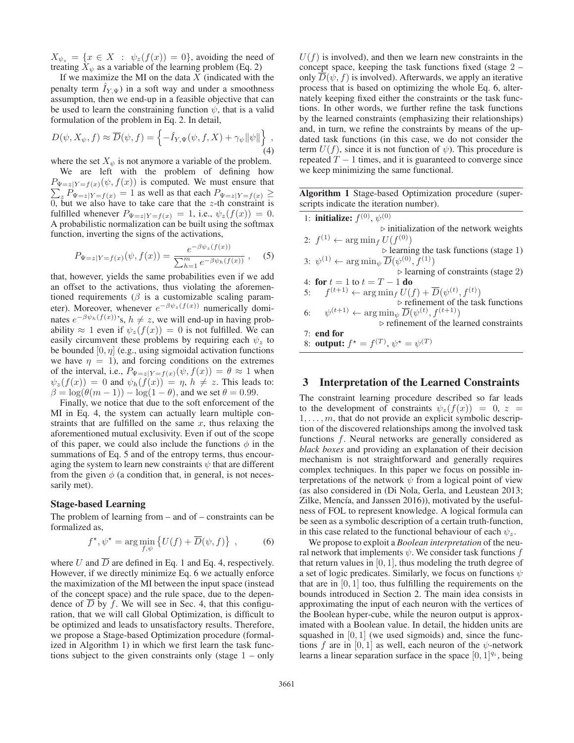$X_{\psi_z} = \{x \in X : \psi_z(f(x)) = 0\}$ , avoiding the need of treating  $X_{\psi}$  as a variable of the learning problem (Eq. 2)

If we maximize the MI on the data  $X$  (indicated with the penalty term  $\bar{I}_{Y \Psi}$ ) in a soft way and under a smoothness assumption, then we end-up in a feasible objective that can be used to learn the constraining function  $\psi$ , that is a valid formulation of the problem in Eq. 2. In detail,

$$
D(\psi, X_{\psi}, f) \approx \overline{D}(\psi, f) = \left\{-\hat{I}_{Y, \Psi}(\psi, f, X) + \gamma_{\psi} ||\psi||\right\},\tag{4}
$$

where the set  $X_{\psi}$  is not anymore a variable of the problem.

We are left with the problem of defining how  $P_{\Psi=z|Y=f(x)}(\psi, f(x))$  is computed. We must ensure that  $\sum_{i=1}^{n} P_{x-i}(x) = 1$  as well as that each  $P_{x-i}(x) \ge$  $\sum_{z} P_{\Psi=z|Y=f(x)} = 1$  as well as that each  $P_{\Psi=z|Y=f(x)} \ge$ <br>0 but we also have to take care that the z-th constraint is 0, but we also have to take care that the z-th constraint is fulfilled whenever  $P_{\text{tr}}(x) = 1$  i.e.  $\psi(x)$   $f(x) = 0$ fulfilled whenever  $P_{\Psi=z|Y=f(x)}=1$ , i.e.,  $\psi_z(f(x))=0$ . A probabilistic normalization can be built using the softmax function, inverting the signs of the activations,

$$
P_{\Psi=z|Y=f(x)}(\psi, f(x)) = \frac{e^{-\beta \psi_z(f(x))}}{\sum_{h=1}^m e^{-\beta \psi_h(f(x))}}, \quad (5)
$$

that, however, yields the same probabilities even if we add an offset to the activations, thus violating the aforementioned requirements ( $\beta$  is a customizable scaling parameter). Moreover, whenever  $e^{-\beta \psi_z(f(x))}$  numerically dominates  $e^{-\beta \psi_h(f(x))}$ 's,  $h \neq z$ , we will end-up in having probability  $\approx 1$  even if  $\psi_z(f(x)) = 0$  is not fulfilled. We can easily circumvent these problems by requiring each  $\psi_z$  to be bounded  $[0, \eta]$  (e.g., using sigmoidal activation functions we have  $\eta = 1$ ), and forcing conditions on the extremes of the interval, i.e.,  $P_{\Psi=z|Y=f(x)}(\psi, f(x)) = \theta \approx 1$  when  $\psi_z(f(x)) = 0$  and  $\psi_h(f(x)) = \eta$ ,  $h \neq z$ . This leads to:  $\beta = \log(\theta(m-1)) - \log(1-\theta)$ , and we set  $\theta = 0.99$ .

Finally, we notice that due to the soft enforcement of the MI in Eq. 4, the system can actually learn multiple constraints that are fulfilled on the same  $x$ , thus relaxing the aforementioned mutual exclusivity. Even if out of the scope of this paper, we could also include the functions  $\phi$  in the summations of Eq. 5 and of the entropy terms, thus encouraging the system to learn new constraints  $\psi$  that are different from the given  $\phi$  (a condition that, in general, is not necessarily met).

#### Stage-based Learning

The problem of learning from – and of – constraints can be formalized as,

$$
f^{\star}, \psi^{\star} = \arg\min_{f, \psi} \left\{ U(f) + \overline{D}(\psi, f) \right\} ,\qquad (6)
$$

where U and  $\overline{D}$  are defined in Eq. 1 and Eq. 4, respectively. However, if we directly minimize Eq. 6 we actually enforce the maximization of the MI between the input space (instead of the concept space) and the rule space, due to the dependence of  $\overline{D}$  by f. We will see in Sec. 4, that this configuration, that we will call Global Optimization, is difficult to be optimized and leads to unsatisfactory results. Therefore, we propose a Stage-based Optimization procedure (formalized in Algorithm 1) in which we first learn the task functions subject to the given constraints only (stage  $1 - only$ )

 $U(f)$  is involved), and then we learn new constraints in the concept space, keeping the task functions fixed (stage 2 – only  $D(\psi, f)$  is involved). Afterwards, we apply an iterative process that is based on optimizing the whole Eq. 6, alternately keeping fixed either the constraints or the task functions. In other words, we further refine the task functions by the learned constraints (emphasizing their relationships) and, in turn, we refine the constraints by means of the updated task functions (in this case, we do not consider the term  $U(f)$ , since it is not function of  $\psi$ ). This procedure is repeated  $T - 1$  times, and it is guaranteed to converge since we keep minimizing the same functional.

Algorithm 1 Stage-based Optimization procedure (superscripts indicate the iteration number).

| 1: <b>initialize:</b> $f^{(0)}$ , $\psi^{(0)}$                                    |
|-----------------------------------------------------------------------------------|
| $\triangleright$ initialization of the network weights                            |
| 2: $f^{(1)} \leftarrow \arg \min_{f} U(f^{(0)})$                                  |
| $\triangleright$ learning the task functions (stage 1)                            |
| 3: $\psi^{(1)} \leftarrow \arg \min_{\psi} \overline{D}(\psi^{(0)}, f^{(1)})$     |
| $\triangleright$ learning of constraints (stage 2)                                |
| 4: for $t = 1$ to $t = T - 1$ do                                                  |
| 5: $f^{(t+1)} \leftarrow \arg\min_f U(f) + \overline{D}(\psi^{(t)}, f^{(t)})$     |
| $\triangleright$ refinement of the task functions                                 |
| 6: $\psi^{(t+1)} \leftarrow \arg \min_{\psi} \overline{D}(\psi^{(t)}, f^{(t+1)})$ |
| $\triangleright$ refinement of the learned constraints                            |
| $7:$ end for                                                                      |
| 8: <b>output:</b> $f^* = f^{(T)}$ , $\psi^* = \psi^{(T)}$                         |
|                                                                                   |

# 3 Interpretation of the Learned Constraints

The constraint learning procedure described so far leads to the development of constraints  $\psi_z(f(x)) = 0, z =$  $1, \ldots, m$ , that do not provide an explicit symbolic description of the discovered relationships among the involved task functions f. Neural networks are generally considered as *black boxes* and providing an explanation of their decision mechanism is not straightforward and generally requires complex techniques. In this paper we focus on possible interpretations of the network  $\psi$  from a logical point of view (as also considered in (Di Nola, Gerla, and Leustean 2013; Zilke, Mencía, and Janssen 2016)), motivated by the usefulness of FOL to represent knowledge. A logical formula can be seen as a symbolic description of a certain truth-function, in this case related to the functional behaviour of each  $\psi_z$ .

We propose to exploit a *Boolean interpretation* of the neural network that implements  $\psi$ . We consider task functions f that return values in  $[0, 1]$ , thus modeling the truth degree of a set of logic predicates. Similarly, we focus on functions  $\psi$ that are in  $[0, 1]$  too, thus fulfilling the requirements on the bounds introduced in Section 2. The main idea consists in approximating the input of each neuron with the vertices of the Boolean hyper-cube, while the neuron output is approximated with a Boolean value. In detail, the hidden units are squashed in  $[0, 1]$  (we used sigmoids) and, since the functions f are in [0, 1] as well, each neuron of the  $\psi$ -network learns a linear separation surface in the space  $[0, 1]^{q_i}$ , being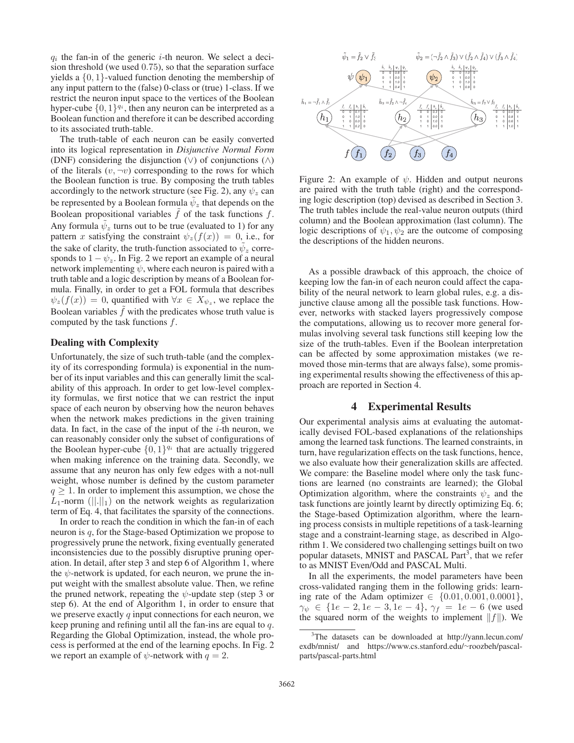$q_i$  the fan-in of the generic *i*-th neuron. We select a decision threshold (we used 0.75), so that the separation surface yields a {0, 1}-valued function denoting the membership of any input pattern to the (false) 0-class or (true) 1-class. If we restrict the neuron input space to the vertices of the Boolean hyper-cube  $\{0, 1\}^{q_i}$ , then any neuron can be interpreted as a Boolean function and therefore it can be described according to its associated truth-table.

The truth-table of each neuron can be easily converted into its logical representation in *Disjunctive Normal Form* (DNF) considering the disjunction  $(\vee)$  of conjunctions  $(\wedge)$ of the literals  $(v, \neg v)$  corresponding to the rows for which the Boolean function is true. By composing the truth tables accordingly to the network structure (see Fig. 2), any  $\psi_z$  can be represented by a Boolean formula  $\tilde{\psi}_z$  that depends on the Boolean propositional variables  $\tilde{f}$  of the task functions  $f$ . Any formula  $\psi_z$  turns out to be true (evaluated to 1) for any pattern x satisfying the constraint  $\psi_z(f(x)) = 0$ , i.e., for the sake of clarity, the truth-function associated to  $\tilde{\psi}_z$  corresponds to  $1 - \psi_z$ . In Fig. 2 we report an example of a neural network implementing  $\psi$ , where each neuron is paired with a truth table and a logic description by means of a Boolean formula. Finally, in order to get a FOL formula that describes  $\psi_z(f(x)) = 0$ , quantified with  $\forall x \in X_{\psi_z}$ , we replace the Boolean variables  $f$  with the predicates whose truth value is computed by the task functions  $f$ .

## Dealing with Complexity

Unfortunately, the size of such truth-table (and the complexity of its corresponding formula) is exponential in the number of its input variables and this can generally limit the scalability of this approach. In order to get low-level complexity formulas, we first notice that we can restrict the input space of each neuron by observing how the neuron behaves when the network makes predictions in the given training data. In fact, in the case of the input of the  $i$ -th neuron, we can reasonably consider only the subset of configurations of the Boolean hyper-cube  $\{0, 1\}^{q_i}$  that are actually triggered when making inference on the training data. Secondly, we assume that any neuron has only few edges with a not-null weight, whose number is defined by the custom parameter  $q \geq 1$ . In order to implement this assumption, we chose the  $L_1$ -norm (||.||<sub>1</sub>) on the network weights as regularization term of Eq. 4, that facilitates the sparsity of the connections.

In order to reach the condition in which the fan-in of each neuron is q, for the Stage-based Optimization we propose to progressively prune the network, fixing eventually generated inconsistencies due to the possibly disruptive pruning operation. In detail, after step 3 and step 6 of Algorithm 1, where the  $\psi$ -network is updated, for each neuron, we prune the input weight with the smallest absolute value. Then, we refine the pruned network, repeating the  $\psi$ -update step (step 3 or step 6). At the end of Algorithm 1, in order to ensure that we preserve exactly  $q$  input connections for each neuron, we keep pruning and refining until all the fan-ins are equal to q. Regarding the Global Optimization, instead, the whole process is performed at the end of the learning epochs. In Fig. 2 we report an example of  $\psi$ -network with  $q = 2$ .



Figure 2: An example of  $\psi$ . Hidden and output neurons are paired with the truth table (right) and the corresponding logic description (top) devised as described in Section 3. The truth tables include the real-value neuron outputs (third column) and the Boolean approximation (last column). The logic descriptions of  $\psi_1, \psi_2$  are the outcome of composing the descriptions of the hidden neurons.

As a possible drawback of this approach, the choice of keeping low the fan-in of each neuron could affect the capability of the neural network to learn global rules, e.g. a disjunctive clause among all the possible task functions. However, networks with stacked layers progressively compose the computations, allowing us to recover more general formulas involving several task functions still keeping low the size of the truth-tables. Even if the Boolean interpretation can be affected by some approximation mistakes (we removed those min-terms that are always false), some promising experimental results showing the effectiveness of this approach are reported in Section 4.

# 4 Experimental Results

Our experimental analysis aims at evaluating the automatically devised FOL-based explanations of the relationships among the learned task functions. The learned constraints, in turn, have regularization effects on the task functions, hence, we also evaluate how their generalization skills are affected. We compare: the Baseline model where only the task functions are learned (no constraints are learned); the Global Optimization algorithm, where the constraints  $\psi_z$  and the task functions are jointly learnt by directly optimizing Eq. 6; the Stage-based Optimization algorithm, where the learning process consists in multiple repetitions of a task-learning stage and a constraint-learning stage, as described in Algorithm 1. We considered two challenging settings built on two popular datasets, MNIST and PASCAL Part<sup>3</sup>, that we refer to as MNIST Even/Odd and PASCAL Multi.

In all the experiments, the model parameters have been cross-validated ranging them in the following grids: learning rate of the Adam optimizer ∈  ${0.01, 0.001, 0.0001}$ ,  $\gamma_{\psi} \in \{1e-2, 1e-3, 1e-4\}, \gamma_{f} = 1e-6$  (we used the squared norm of the weights to implement  $||f||$ . We

<sup>&</sup>lt;sup>3</sup>The datasets can be downloaded at http://yann.lecun.com/ exdb/mnist/ and https://www.cs.stanford.edu/∼roozbeh/pascalparts/pascal-parts.html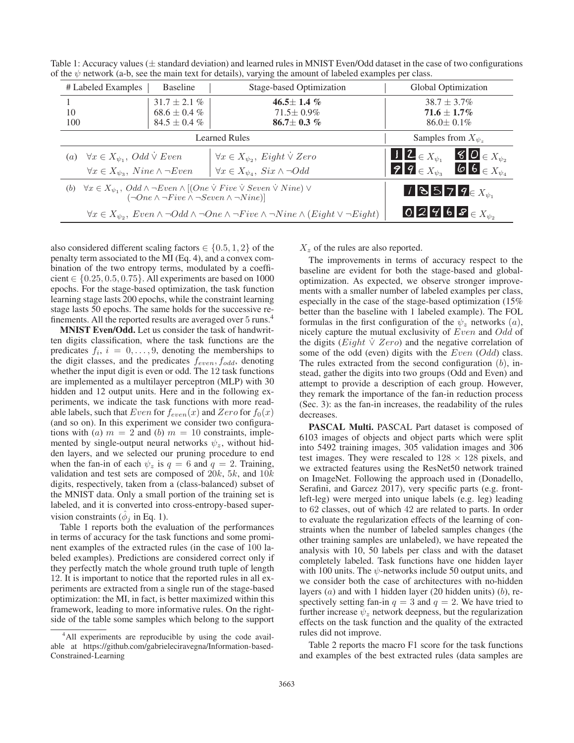| # Labeled Examples                                                                                                                                                                                       | <b>Baseline</b>           | <b>Stage-based Optimization</b>                                                                                                     | Global Optimization                                                               |  |  |
|----------------------------------------------------------------------------------------------------------------------------------------------------------------------------------------------------------|---------------------------|-------------------------------------------------------------------------------------------------------------------------------------|-----------------------------------------------------------------------------------|--|--|
|                                                                                                                                                                                                          | $31.7 \pm 2.1 \%$         | $46.5 \pm 1.4~\%$                                                                                                                   | $38.7 \pm 3.7\%$                                                                  |  |  |
| 10                                                                                                                                                                                                       | $68.6 \pm 0.4 \%$         | $71.5 \pm 0.9\%$                                                                                                                    | $71.6 \pm 1.7\%$                                                                  |  |  |
| 100                                                                                                                                                                                                      | $84.5 \pm 0.4 \%$         | $86.7 \pm 0.3 \%$                                                                                                                   | $86.0 \pm 0.1\%$                                                                  |  |  |
|                                                                                                                                                                                                          | Samples from $X_{\psi_z}$ |                                                                                                                                     |                                                                                   |  |  |
| $\forall x \in X_{\psi_1}, \text{Odd } \dot{\vee} \text{ Even}$<br><i>(a)</i>                                                                                                                            |                           | $\forall x \in X_{\psi_2}, \; Eight \vee Zero$                                                                                      | $12 \in X_{\psi_1}$<br>$80 E_{X_{\psi_2}}$                                        |  |  |
| $\forall x \in X_{\psi_3},$ Nine $\wedge \neg Even$                                                                                                                                                      |                           | $\forall x \in X_{\psi_4}, \, Six \wedge \neg Odd$                                                                                  | $\boldsymbol{b}$ 6 $\in X_{\psi_4}$<br>$\mathcal{P}$ $\mathcal{P} \in X_{\psi_2}$ |  |  |
| $\forall x \in X_{\psi_1}, \; Odd \wedge \neg Even \wedge [(One \lor Five \lor Seven \lor Nine) \lor$<br>13579 $\in X_{\psi_1}$<br>(b)<br>$(\neg One \land \neg Five \land \neg Seven \land \neg Nine)]$ |                           |                                                                                                                                     |                                                                                   |  |  |
|                                                                                                                                                                                                          |                           | $\forall x \in X_{\psi_2}, \ Even \wedge \neg Odd \wedge \neg One \wedge \neg Five \wedge \neg Nine \wedge (Eight \vee \neg Eight)$ | 0 2 4 6 8 $\in X_{\psi_2}$                                                        |  |  |

Table 1: Accuracy values ( $\pm$  standard deviation) and learned rules in MNIST Even/Odd dataset in the case of two configurations of the  $\psi$  network (a-b, see the main text for details), varying the amount of labeled examples per class.

also considered different scaling factors  $\in \{0.5, 1, 2\}$  of the penalty term associated to the MI (Eq. 4), and a convex combination of the two entropy terms, modulated by a coefficient  $\in \{0.25, 0.5, 0.75\}$ . All experiments are based on 1000 epochs. For the stage-based optimization, the task function learning stage lasts 200 epochs, while the constraint learning stage lasts 50 epochs. The same holds for the successive refinements. All the reported results are averaged over 5 runs.4

MNIST Even/Odd. Let us consider the task of handwritten digits classification, where the task functions are the predicates  $f_i$ ,  $i = 0, \ldots, 9$ , denoting the memberships to the digit classes, and the predicates  $f_{even}, f_{odd}$ , denoting whether the input digit is even or odd. The 12 task functions are implemented as a multilayer perceptron (MLP) with 30 hidden and 12 output units. Here and in the following experiments, we indicate the task functions with more readable labels, such that  $Even$  for  $f_{even}(x)$  and  $Zero$  for  $f_0(x)$ (and so on). In this experiment we consider two configurations with (a)  $m = 2$  and (b)  $m = 10$  constraints, implemented by single-output neural networks  $\psi_z$ , without hidden layers, and we selected our pruning procedure to end when the fan-in of each  $\psi_z$  is  $q = 6$  and  $q = 2$ . Training, validation and test sets are composed of  $20k$ ,  $5k$ , and  $10k$ digits, respectively, taken from a (class-balanced) subset of the MNIST data. Only a small portion of the training set is labeled, and it is converted into cross-entropy-based supervision constraints ( $\phi_i$  in Eq. 1).

Table 1 reports both the evaluation of the performances in terms of accuracy for the task functions and some prominent examples of the extracted rules (in the case of 100 labeled examples). Predictions are considered correct only if they perfectly match the whole ground truth tuple of length 12. It is important to notice that the reported rules in all experiments are extracted from a single run of the stage-based optimization: the MI, in fact, is better maximized within this framework, leading to more informative rules. On the rightside of the table some samples which belong to the support

 $X<sub>z</sub>$  of the rules are also reported.

The improvements in terms of accuracy respect to the baseline are evident for both the stage-based and globaloptimization. As expected, we observe stronger improvements with a smaller number of labeled examples per class, especially in the case of the stage-based optimization (15% better than the baseline with 1 labeled example). The FOL formulas in the first configuration of the  $\psi_z$  networks  $(a)$ , nicely capture the mutual exclusivity of Even and Odd of the digits (*Eight*  $\dot{\vee}$  *Zero*) and the negative correlation of some of the odd (even) digits with the Even (Odd) class. The rules extracted from the second configuration  $(b)$ , instead, gather the digits into two groups (Odd and Even) and attempt to provide a description of each group. However, they remark the importance of the fan-in reduction process (Sec. 3): as the fan-in increases, the readability of the rules decreases.

PASCAL Multi. PASCAL Part dataset is composed of 6103 images of objects and object parts which were split into 5492 training images, 305 validation images and 306 test images. They were rescaled to  $128 \times 128$  pixels, and we extracted features using the ResNet50 network trained on ImageNet. Following the approach used in (Donadello, Serafini, and Garcez 2017), very specific parts (e.g. frontleft-leg) were merged into unique labels (e.g. leg) leading to 62 classes, out of which 42 are related to parts. In order to evaluate the regularization effects of the learning of constraints when the number of labeled samples changes (the other training samples are unlabeled), we have repeated the analysis with 10, 50 labels per class and with the dataset completely labeled. Task functions have one hidden layer with 100 units. The  $\psi$ -networks include 50 output units, and we consider both the case of architectures with no-hidden layers  $(a)$  and with 1 hidden layer (20 hidden units)  $(b)$ , respectively setting fan-in  $q = 3$  and  $q = 2$ . We have tried to further increase  $\psi_z$  network deepness, but the regularization effects on the task function and the quality of the extracted rules did not improve.

Table 2 reports the macro F1 score for the task functions and examples of the best extracted rules (data samples are

<sup>&</sup>lt;sup>4</sup>All experiments are reproducible by using the code available at https://github.com/gabrieleciravegna/Information-based-Constrained-Learning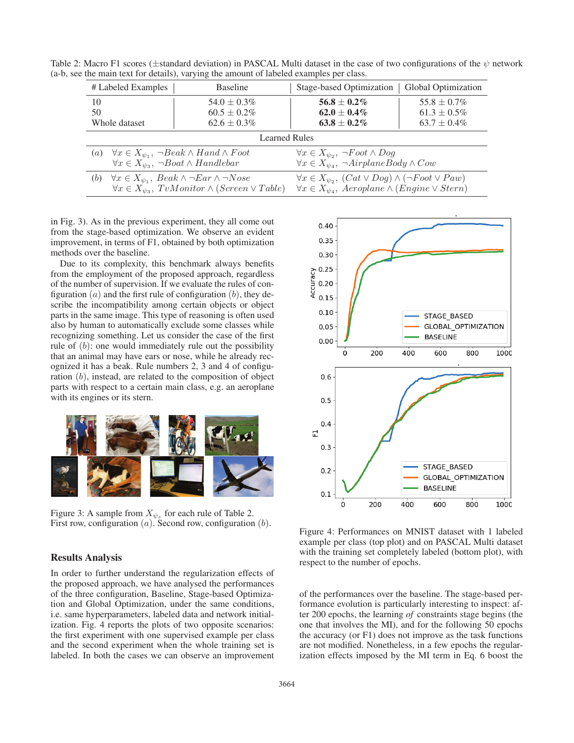Table 2: Macro F1 scores ( $\pm$ standard deviation) in PASCAL Multi dataset in the case of two configurations of the  $\psi$  network (a-b, see the main text for details), varying the amount of labeled examples per class.

| # Labeled Examples   | <b>Baseline</b>                                                                                                                                                      | Stage-based Optimization                                                                                                                       | Global Optimization                  |  |  |  |  |
|----------------------|----------------------------------------------------------------------------------------------------------------------------------------------------------------------|------------------------------------------------------------------------------------------------------------------------------------------------|--------------------------------------|--|--|--|--|
| 10<br>50             | $54.0 \pm 0.3\%$<br>$60.5 \pm 0.2\%$                                                                                                                                 | $56.8 \pm 0.2 \%$<br>$62.0 \pm 0.4\%$                                                                                                          | $55.8 \pm 0.7\%$<br>$61.3 \pm 0.5\%$ |  |  |  |  |
| Whole dataset        | $62.6 \pm 0.3\%$                                                                                                                                                     | $63.8 \pm 0.2\%$                                                                                                                               | $63.7 \pm 0.4\%$                     |  |  |  |  |
| <b>Learned Rules</b> |                                                                                                                                                                      |                                                                                                                                                |                                      |  |  |  |  |
| $\left( a\right)$    | $\forall x \in X_{\psi_1}, \neg$ <i>Beak</i> $\wedge$ <i>Hand</i> $\wedge$ <i>Food</i><br>$\forall x \in X_{\psi_3}, \neg$ Boat $\wedge$ Handlebar                   | $\forall x \in X_{\psi_2}, \neg Foot \land Dog$<br>$\forall x \in X_{\psi_A}, \neg AirplaneBody \wedge Cow$                                    |                                      |  |  |  |  |
| (b)                  | $\forall x \in X_{\psi_1}, \text{ } \text{Beak} \land \neg \text{Ear} \land \neg \text{Nose}$<br>$\forall x \in X_{\psi_3}, \, TvMonitor \wedge (Screen \vee Table)$ | $\forall x \in X_{\psi_2}, (Cat \vee Dog) \wedge (\neg Foot \vee Paw)$<br>$\forall x \in X_{\psi_4},$ Aeroplane $\wedge$ (Engine $\vee$ Stern) |                                      |  |  |  |  |

in Fig. 3). As in the previous experiment, they all come out from the stage-based optimization. We observe an evident improvement, in terms of F1, obtained by both optimization methods over the baseline.

Due to its complexity, this benchmark always benefits from the employment of the proposed approach, regardless of the number of supervision. If we evaluate the rules of configuration  $(a)$  and the first rule of configuration  $(b)$ , they describe the incompatibility among certain objects or object parts in the same image. This type of reasoning is often used also by human to automatically exclude some classes while recognizing something. Let us consider the case of the first rule of  $(b)$ : one would immediately rule out the possibility that an animal may have ears or nose, while he already recognized it has a beak. Rule numbers 2, 3 and 4 of configuration (b), instead, are related to the composition of object parts with respect to a certain main class, e.g. an aeroplane with its engines or its stern.



Figure 3: A sample from  $X_{\psi_z}$  for each rule of Table 2. First row, configuration  $(a)$ . Second row, configuration  $(b)$ .

# Results Analysis

In order to further understand the regularization effects of the proposed approach, we have analysed the performances of the three configuration, Baseline, Stage-based Optimization and Global Optimization, under the same conditions, i.e. same hyperparameters, labeled data and network initialization. Fig. 4 reports the plots of two opposite scenarios: the first experiment with one supervised example per class and the second experiment when the whole training set is labeled. In both the cases we can observe an improvement



Figure 4: Performances on MNIST dataset with 1 labeled example per class (top plot) and on PASCAL Multi dataset with the training set completely labeled (bottom plot), with respect to the number of epochs.

of the performances over the baseline. The stage-based performance evolution is particularly interesting to inspect: after 200 epochs, the learning *of* constraints stage begins (the one that involves the MI), and for the following 50 epochs the accuracy (or F1) does not improve as the task functions are not modified. Nonetheless, in a few epochs the regularization effects imposed by the MI term in Eq. 6 boost the